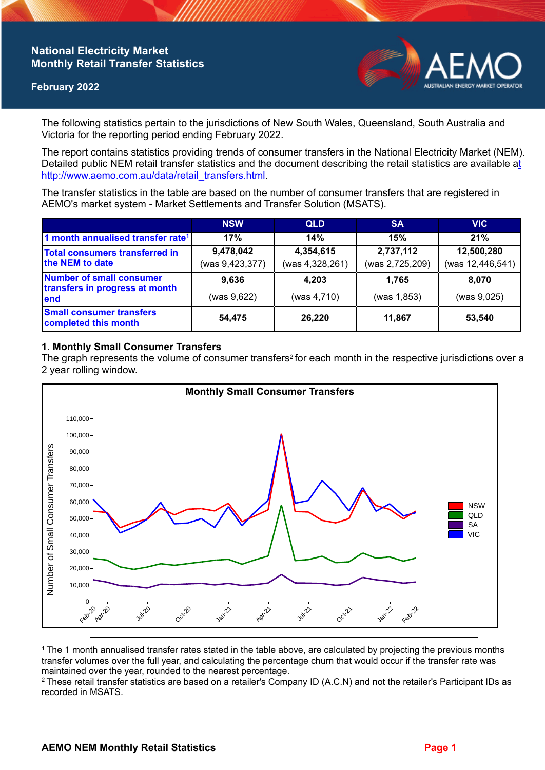# **National Electricity Market Monthly Retail Transfer Statistics**

### **February 2022**



The following statistics pertain to the jurisdictions of New South Wales, Queensland, South Australia and Victoria for the reporting period ending February 2022.

The report contains statistics providing trends of consumer transfers in the National Electricity Market (NEM). Detailed public NEM retail transfer statistics and the document describing the retail statistics are available a[t](http://www.aemo.com.au/data/retail_transfers.html)  http://www.aemo.com.au/data/retail\_transfers.html

The transfer statistics in the table are based on the number of consumer transfers that are registered in AEMO's market system - Market Settlements and Transfer Solution (MSATS).

|                                                                    | <b>NSW</b>      | <b>QLD</b>      | <b>SA</b>       | <b>VIC</b>       |
|--------------------------------------------------------------------|-----------------|-----------------|-----------------|------------------|
| 1 month annualised transfer rate <sup>1</sup>                      | 17%             | 14%             | 15%             | 21%              |
| Total consumers transferred in<br>the NEM to date                  | 9,478,042       | 4,354,615       | 2,737,112       | 12,500,280       |
|                                                                    | (was 9,423,377) | (was 4,328,261) | (was 2,725,209) | (was 12,446,541) |
| Number of small consumer<br>transfers in progress at month<br>lend | 9.636           | 4.203           | 1.765           | 8.070            |
|                                                                    | (was 9,622)     | (was 4,710)     | (was 1,853)     | (was 9,025)      |
| <b>Small consumer transfers</b><br>completed this month            | 54,475          | 26,220          | 11,867          | 53,540           |

## **1. Monthly Small Consumer Transfers**

The graph represents the volume of consumer transfers<sup>2</sup> for each month in the respective jurisdictions over a 2 year rolling window.



<sup>1</sup>The 1 month annualised transfer rates stated in the table above, are calculated by projecting the previous months transfer volumes over the full year, and calculating the percentage churn that would occur if the transfer rate was maintained over the year, rounded to the nearest percentage.

<sup>2</sup> These retail transfer statistics are based on a retailer's Company ID (A.C.N) and not the retailer's Participant IDs as recorded in MSATS.